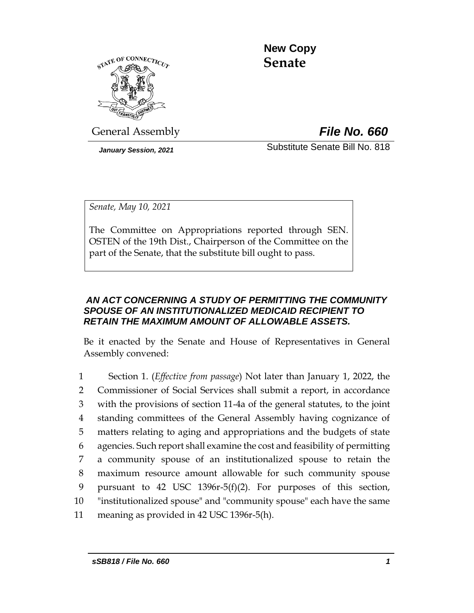

 **New Copy Senate**

General Assembly *File No. 660*

*January Session, 2021* Substitute Senate Bill No. 818

*Senate, May 10, 2021*

The Committee on Appropriations reported through SEN. OSTEN of the 19th Dist., Chairperson of the Committee on the part of the Senate, that the substitute bill ought to pass.

# *AN ACT CONCERNING A STUDY OF PERMITTING THE COMMUNITY SPOUSE OF AN INSTITUTIONALIZED MEDICAID RECIPIENT TO RETAIN THE MAXIMUM AMOUNT OF ALLOWABLE ASSETS.*

Be it enacted by the Senate and House of Representatives in General Assembly convened:

 Section 1. (*Effective from passage*) Not later than January 1, 2022, the Commissioner of Social Services shall submit a report, in accordance with the provisions of section 11-4a of the general statutes, to the joint standing committees of the General Assembly having cognizance of matters relating to aging and appropriations and the budgets of state agencies. Such report shall examine the cost and feasibility of permitting a community spouse of an institutionalized spouse to retain the maximum resource amount allowable for such community spouse pursuant to 42 USC 1396r-5(f)(2). For purposes of this section, "institutionalized spouse" and "community spouse" each have the same meaning as provided in 42 USC 1396r-5(h).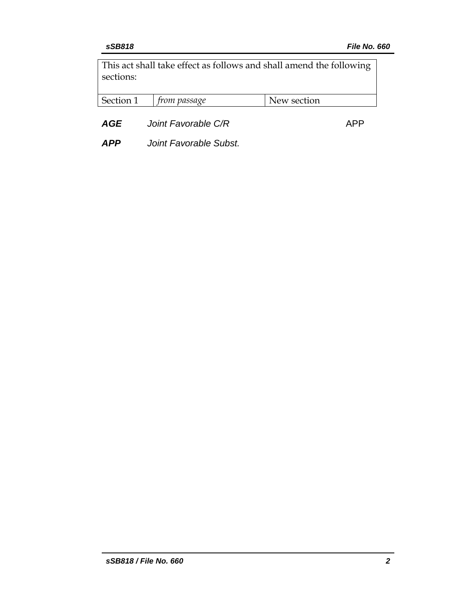This act shall take effect as follows and shall amend the following sections:

| Section | trom passage | New section |
|---------|--------------|-------------|
|---------|--------------|-------------|

**AGE** *Joint Favorable C/R* **APP** 

*APP Joint Favorable Subst.*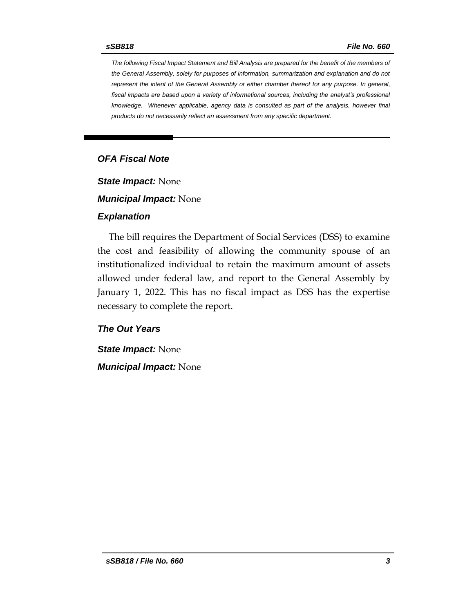*The following Fiscal Impact Statement and Bill Analysis are prepared for the benefit of the members of the General Assembly, solely for purposes of information, summarization and explanation and do not represent the intent of the General Assembly or either chamber thereof for any purpose. In general,*  fiscal impacts are based upon a variety of informational sources, including the analyst's professional *knowledge. Whenever applicable, agency data is consulted as part of the analysis, however final products do not necessarily reflect an assessment from any specific department.*

## *OFA Fiscal Note*

*State Impact:* None

*Municipal Impact:* None

#### *Explanation*

The bill requires the Department of Social Services (DSS) to examine the cost and feasibility of allowing the community spouse of an institutionalized individual to retain the maximum amount of assets allowed under federal law, and report to the General Assembly by January 1, 2022. This has no fiscal impact as DSS has the expertise necessary to complete the report.

## *The Out Years*

*State Impact:* None

*Municipal Impact:* None